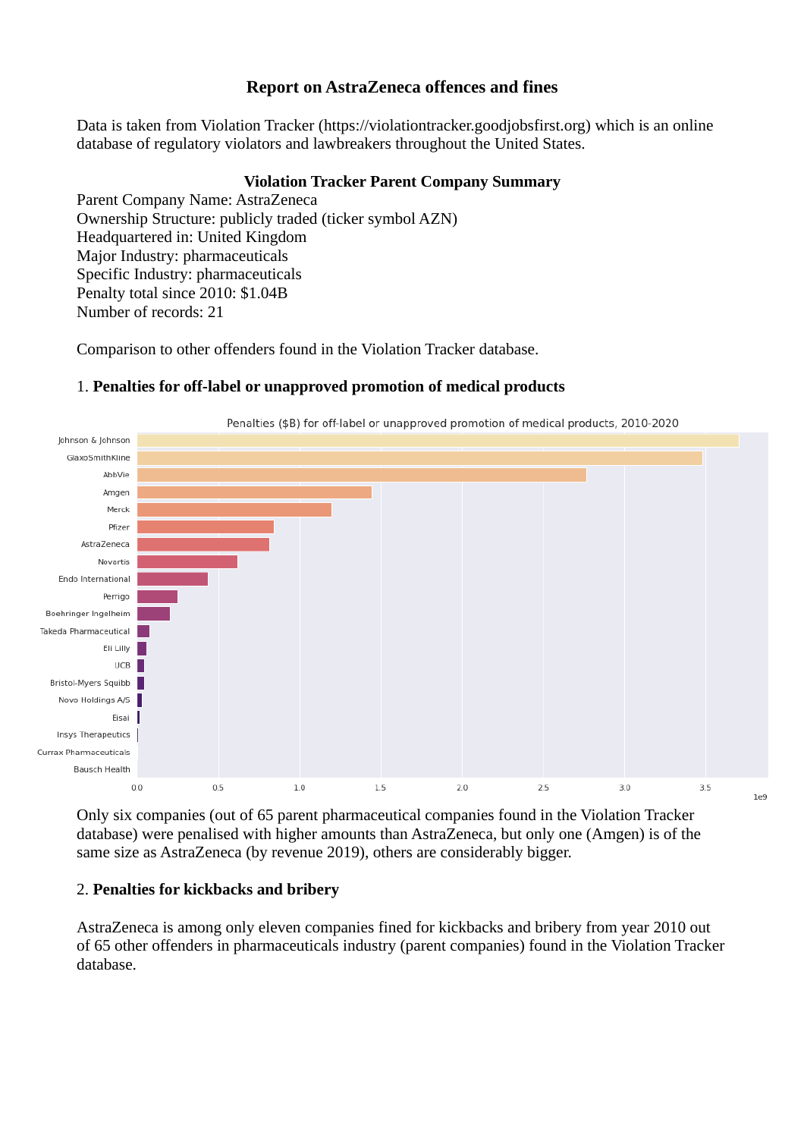# **Report on AstraZeneca offences and fines**

Data is taken from Violation Tracker (https://violationtracker.goodjobsfirst.org) which is an online database of regulatory violators and lawbreakers throughout the United States.

### **Violation Tracker Parent Company Summary**

Parent Company Name: AstraZeneca Ownership Structure: publicly traded (ticker symbol AZN) Headquartered in: United Kingdom Major Industry: pharmaceuticals Specific Industry: pharmaceuticals Penalty total since 2010: \$1.04B Number of records: 21

Comparison to other offenders found in the Violation Tracker database.



### 1. **Penalties for off-label or unapproved promotion of medical products**

Only six companies (out of 65 parent pharmaceutical companies found in the Violation Tracker database) were penalised with higher amounts than AstraZeneca, but only one (Amgen) is of the same size as AstraZeneca (by revenue 2019), others are considerably bigger.

### 2. **Penalties for kickbacks and bribery**

AstraZeneca is among only eleven companies fined for kickbacks and bribery from year 2010 out of 65 other offenders in pharmaceuticals industry (parent companies) found in the Violation Tracker database.